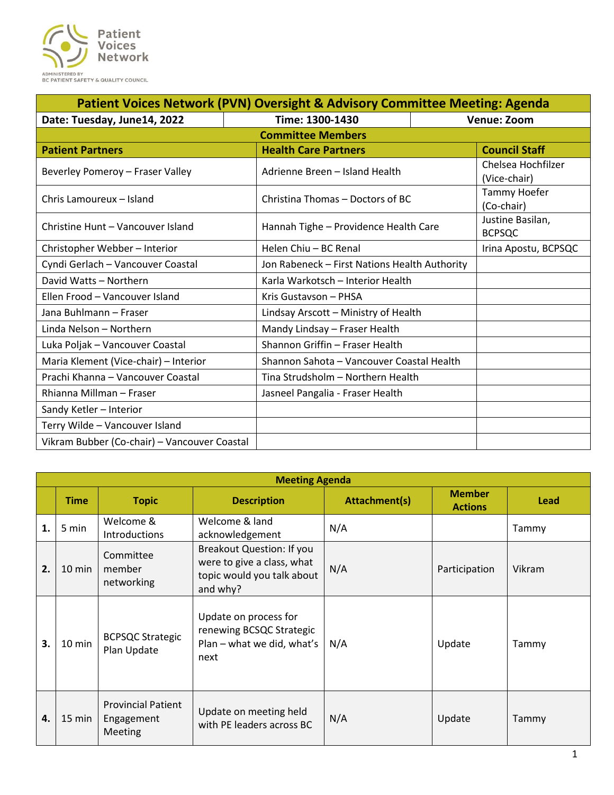

| <b>Patient Voices Network (PVN) Oversight &amp; Advisory Committee Meeting: Agenda</b> |                                               |                                    |  |  |  |  |  |
|----------------------------------------------------------------------------------------|-----------------------------------------------|------------------------------------|--|--|--|--|--|
| Date: Tuesday, June14, 2022                                                            | Time: 1300-1430<br><b>Venue: Zoom</b>         |                                    |  |  |  |  |  |
| <b>Committee Members</b>                                                               |                                               |                                    |  |  |  |  |  |
| <b>Patient Partners</b>                                                                | <b>Health Care Partners</b>                   | <b>Council Staff</b>               |  |  |  |  |  |
| Beverley Pomeroy - Fraser Valley                                                       | Adrienne Breen - Island Health                | Chelsea Hochfilzer<br>(Vice-chair) |  |  |  |  |  |
| Chris Lamoureux - Island                                                               | Christina Thomas – Doctors of BC              | Tammy Hoefer<br>(Co-chair)         |  |  |  |  |  |
| Christine Hunt - Vancouver Island                                                      | Hannah Tighe - Providence Health Care         | Justine Basilan,<br><b>BCPSQC</b>  |  |  |  |  |  |
| Christopher Webber - Interior                                                          | Helen Chiu - BC Renal                         | Irina Apostu, BCPSQC               |  |  |  |  |  |
| Cyndi Gerlach - Vancouver Coastal                                                      | Jon Rabeneck - First Nations Health Authority |                                    |  |  |  |  |  |
| David Watts - Northern                                                                 | Karla Warkotsch - Interior Health             |                                    |  |  |  |  |  |
| Ellen Frood - Vancouver Island                                                         | Kris Gustavson - PHSA                         |                                    |  |  |  |  |  |
| Jana Buhlmann - Fraser                                                                 | Lindsay Arscott - Ministry of Health          |                                    |  |  |  |  |  |
| Linda Nelson - Northern                                                                | Mandy Lindsay - Fraser Health                 |                                    |  |  |  |  |  |
| Luka Poljak - Vancouver Coastal                                                        | Shannon Griffin - Fraser Health               |                                    |  |  |  |  |  |
| Maria Klement (Vice-chair) - Interior                                                  | Shannon Sahota - Vancouver Coastal Health     |                                    |  |  |  |  |  |
| Prachi Khanna - Vancouver Coastal                                                      | Tina Strudsholm - Northern Health             |                                    |  |  |  |  |  |
| Rhianna Millman - Fraser                                                               | Jasneel Pangalia - Fraser Health              |                                    |  |  |  |  |  |
| Sandy Ketler - Interior                                                                |                                               |                                    |  |  |  |  |  |
| Terry Wilde - Vancouver Island                                                         |                                               |                                    |  |  |  |  |  |
| Vikram Bubber (Co-chair) - Vancouver Coastal                                           |                                               |                                    |  |  |  |  |  |

| <b>Meeting Agenda</b> |                  |                                                    |                                                                                                   |                      |                                 |             |  |  |
|-----------------------|------------------|----------------------------------------------------|---------------------------------------------------------------------------------------------------|----------------------|---------------------------------|-------------|--|--|
|                       | <b>Time</b>      | <b>Topic</b>                                       | <b>Description</b>                                                                                | <b>Attachment(s)</b> | <b>Member</b><br><b>Actions</b> | <b>Lead</b> |  |  |
| 1.                    | 5 min            | Welcome &<br><b>Introductions</b>                  | Welcome & land<br>acknowledgement                                                                 | N/A                  |                                 | Tammy       |  |  |
| 2.                    | $10 \text{ min}$ | Committee<br>member<br>networking                  | Breakout Question: If you<br>were to give a class, what<br>topic would you talk about<br>and why? | N/A                  | Participation                   | Vikram      |  |  |
| 3.                    | $10 \text{ min}$ | <b>BCPSQC Strategic</b><br>Plan Update             | Update on process for<br>renewing BCSQC Strategic<br>Plan - what we did, what's<br>next           | N/A                  | Update                          | Tammy       |  |  |
| 4.                    | 15 min           | <b>Provincial Patient</b><br>Engagement<br>Meeting | Update on meeting held<br>with PE leaders across BC                                               | N/A                  | Update                          | Tammy       |  |  |